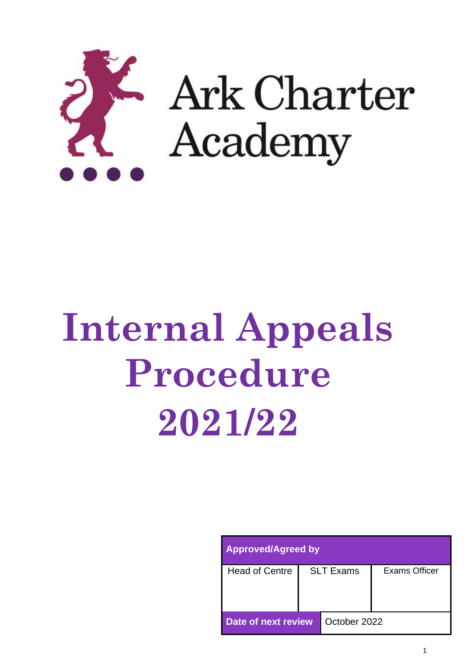

# **Internal Appeals Procedure 2021/22**

| <b>Approved/Agreed by</b> |                  |              |               |  |  |  |
|---------------------------|------------------|--------------|---------------|--|--|--|
| <b>Head of Centre</b>     | <b>SLT Exams</b> |              | Exams Officer |  |  |  |
| Date of next review       |                  | October 2022 |               |  |  |  |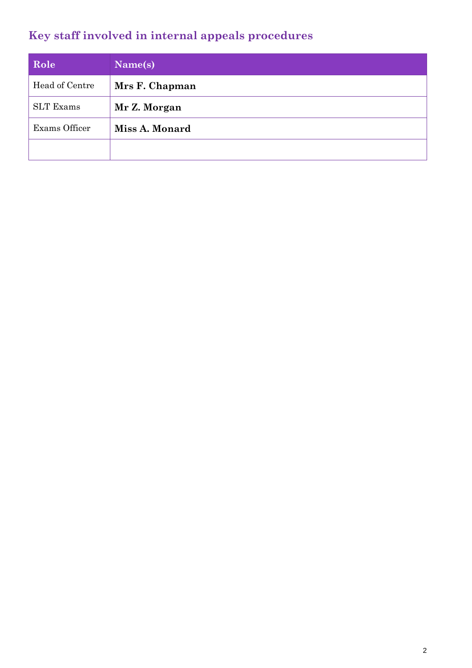## **Key staff involved in internal appeals procedures**

| Role             | Name(s)        |
|------------------|----------------|
| Head of Centre   | Mrs F. Chapman |
| <b>SLT</b> Exams | Mr Z. Morgan   |
| Exams Officer    | Miss A. Monard |
|                  |                |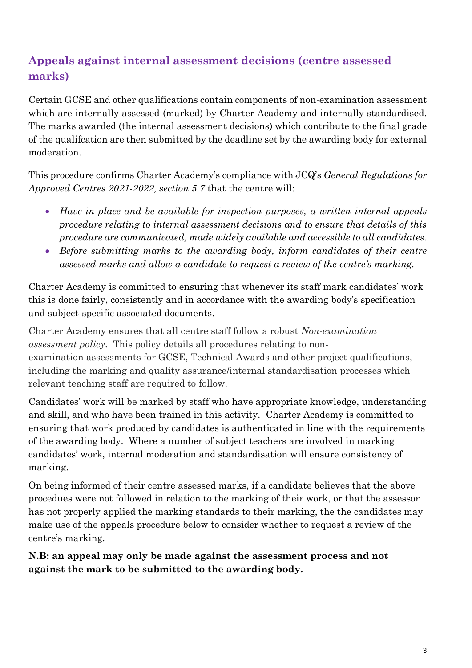## **Appeals against internal assessment decisions (centre assessed marks)**

Certain GCSE and other qualifications contain components of non-examination assessment which are internally assessed (marked) by Charter Academy and internally standardised. The marks awarded (the internal assessment decisions) which contribute to the final grade of the qualifcation are then submitted by the deadline set by the awarding body for external moderation.

This procedure confirms Charter Academy's compliance with JCQ's *General Regulations for Approved Centres 2021-2022, section 5.7* that the centre will:

- *Have in place and be available for inspection purposes, a written internal appeals procedure relating to internal assessment decisions and to ensure that details of this procedure are communicated, made widely available and accessible to all candidates.*
- Before submitting marks to the awarding body, inform candidates of their centre *assessed marks and allow a candidate to request a review of the centre's marking.*

Charter Academy is committed to ensuring that whenever its staff mark candidates' work this is done fairly, consistently and in accordance with the awarding body's specification and subject-specific associated documents.

Charter Academy ensures that all centre staff follow a robust *Non-examination assessment policy*. This policy details all procedures relating to nonexamination assessments for GCSE, Technical Awards and other project qualifications, including the marking and quality assurance/internal standardisation processes which relevant teaching staff are required to follow.

Candidates' work will be marked by staff who have appropriate knowledge, understanding and skill, and who have been trained in this activity. Charter Academy is committed to ensuring that work produced by candidates is authenticated in line with the requirements of the awarding body. Where a number of subject teachers are involved in marking candidates' work, internal moderation and standardisation will ensure consistency of marking.

On being informed of their centre assessed marks, if a candidate believes that the above procedues were not followed in relation to the marking of their work, or that the assessor has not properly applied the marking standards to their marking, the the candidates may make use of the appeals procedure below to consider whether to request a review of the centre's marking.

**N.B: an appeal may only be made against the assessment process and not against the mark to be submitted to the awarding body.**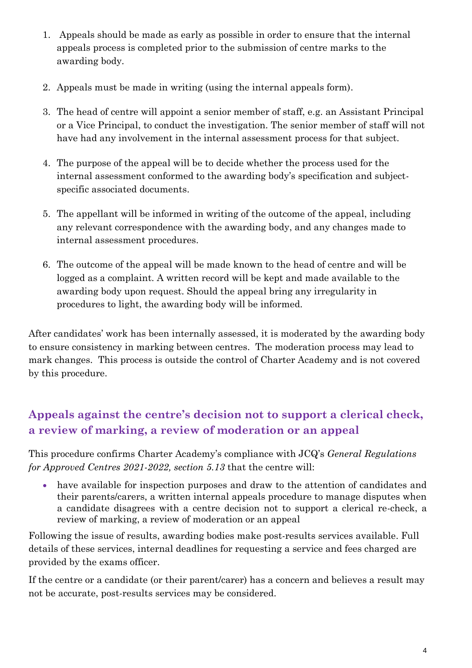- 1. Appeals should be made as early as possible in order to ensure that the internal appeals process is completed prior to the submission of centre marks to the awarding body.
- 2. Appeals must be made in writing (using the internal appeals form).
- 3. The head of centre will appoint a senior member of staff, e.g. an Assistant Principal or a Vice Principal, to conduct the investigation. The senior member of staff will not have had any involvement in the internal assessment process for that subject.
- 4. The purpose of the appeal will be to decide whether the process used for the internal assessment conformed to the awarding body's specification and subjectspecific associated documents.
- 5. The appellant will be informed in writing of the outcome of the appeal, including any relevant correspondence with the awarding body, and any changes made to internal assessment procedures.
- 6. The outcome of the appeal will be made known to the head of centre and will be logged as a complaint. A written record will be kept and made available to the awarding body upon request. Should the appeal bring any irregularity in procedures to light, the awarding body will be informed.

After candidates' work has been internally assessed, it is moderated by the awarding body to ensure consistency in marking between centres. The moderation process may lead to mark changes. This process is outside the control of Charter Academy and is not covered by this procedure.

### **Appeals against the centre's decision not to support a clerical check, a review of marking, a review of moderation or an appeal**

This procedure confirms Charter Academy's compliance with JCQ's *General Regulations for Approved Centres 2021-2022, section 5.13* that the centre will:

• have available for inspection purposes and draw to the attention of candidates and their parents/carers, a written internal appeals procedure to manage disputes when a candidate disagrees with a centre decision not to support a clerical re-check, a review of marking, a review of moderation or an appeal

Following the issue of results, awarding bodies make post-results services available. Full details of these services, internal deadlines for requesting a service and fees charged are provided by the exams officer.

If the centre or a candidate (or their parent/carer) has a concern and believes a result may not be accurate, post-results services may be considered.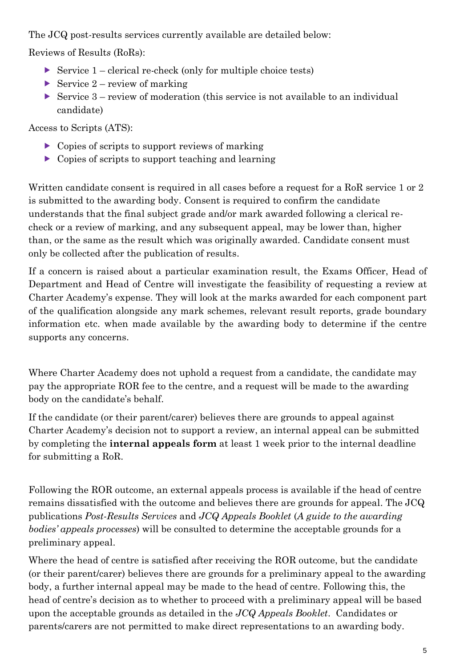The JCQ post-results services currently available are detailed below:

Reviews of Result*s* (RoRs):

- Service  $1$  clerical re-check (only for multiple choice tests)
- Service  $2$  review of marking
- Service  $3$  review of moderation (this service is not available to an individual candidate)

Access to Scripts (ATS):

- $\triangleright$  Copies of scripts to support reviews of marking
- $\triangleright$  Copies of scripts to support teaching and learning

Written candidate consent is required in all cases before a request for a RoR service 1 or 2 is submitted to the awarding body. Consent is required to confirm the candidate understands that the final subject grade and/or mark awarded following a clerical recheck or a review of marking, and any subsequent appeal, may be lower than, higher than, or the same as the result which was originally awarded. Candidate consent must only be collected after the publication of results.

If a concern is raised about a particular examination result, the Exams Officer, Head of Department and Head of Centre will investigate the feasibility of requesting a review at Charter Academy's expense. They will look at the marks awarded for each component part of the qualification alongside any mark schemes, relevant result reports, grade boundary information etc. when made available by the awarding body to determine if the centre supports any concerns.

Where Charter Academy does not uphold a request from a candidate, the candidate may pay the appropriate ROR fee to the centre, and a request will be made to the awarding body on the candidate's behalf.

If the candidate (or their parent/carer) believes there are grounds to appeal against Charter Academy's decision not to support a review, an internal appeal can be submitted by completing the **internal appeals form** at least 1 week prior to the internal deadline for submitting a RoR.

Following the ROR outcome, an external appeals process is available if the head of centre remains dissatisfied with the outcome and believes there are grounds for appeal. The JCQ publications *Post-Results Services* and *JCQ Appeals Booklet* (*A guide to the awarding bodies' appeals processes*) will be consulted to determine the acceptable grounds for a preliminary appeal.

Where the head of centre is satisfied after receiving the ROR outcome, but the candidate (or their parent/carer) believes there are grounds for a preliminary appeal to the awarding body, a further internal appeal may be made to the head of centre. Following this, the head of centre's decision as to whether to proceed with a preliminary appeal will be based upon the acceptable grounds as detailed in the *JCQ Appeals Booklet*. Candidates or parents/carers are not permitted to make direct representations to an awarding body.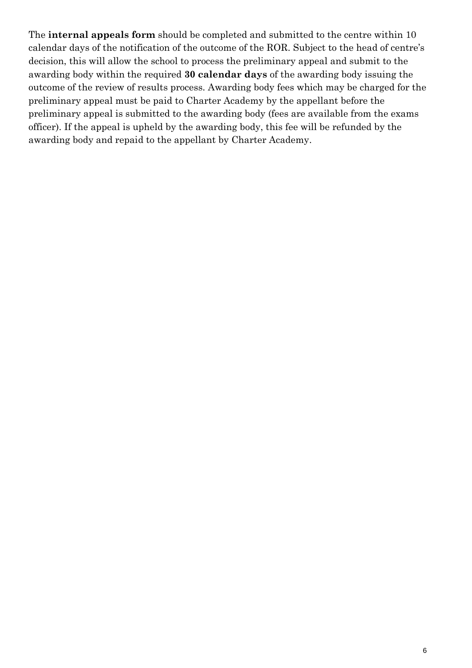The **internal appeals form** should be completed and submitted to the centre within 10 calendar days of the notification of the outcome of the ROR. Subject to the head of centre's decision, this will allow the school to process the preliminary appeal and submit to the awarding body within the required **30 calendar days** of the awarding body issuing the outcome of the review of results process. Awarding body fees which may be charged for the preliminary appeal must be paid to Charter Academy by the appellant before the preliminary appeal is submitted to the awarding body (fees are available from the exams officer). If the appeal is upheld by the awarding body, this fee will be refunded by the awarding body and repaid to the appellant by Charter Academy.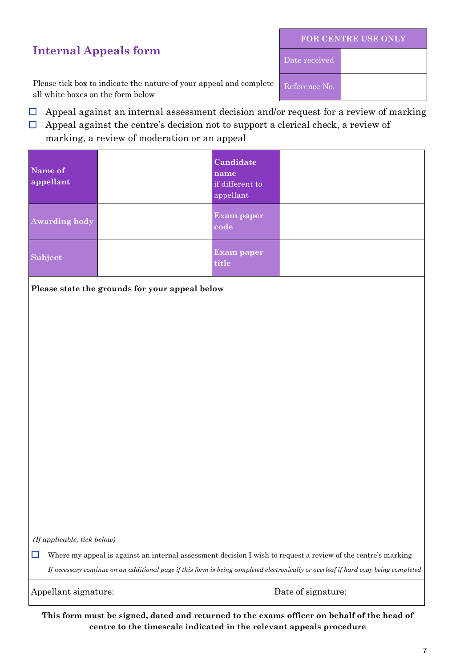#### **Internal Appeals form**

| <b>FOR CENTRE USE ONLY</b> |  |  |  |  |
|----------------------------|--|--|--|--|
| Date received              |  |  |  |  |
| Reference No.              |  |  |  |  |

Please tick box to indicate the nature of your appeal and complete all white boxes on the form below

- $\Box$  Appeal against an internal assessment decision and/or request for a review of marking
- $\Box$  Appeal against the centre's decision not to support a clerical check, a review of

marking, a review of moderation or an appeal

| Name of<br>appellant                                                                                                                                                                                                                                           |                                                | Candidate<br>name<br>if different to<br>appellant |                    |  |  |
|----------------------------------------------------------------------------------------------------------------------------------------------------------------------------------------------------------------------------------------------------------------|------------------------------------------------|---------------------------------------------------|--------------------|--|--|
| <b>Awarding body</b>                                                                                                                                                                                                                                           |                                                | Exam paper<br>code                                |                    |  |  |
| Subject                                                                                                                                                                                                                                                        |                                                | <b>Exam paper</b><br>title                        |                    |  |  |
|                                                                                                                                                                                                                                                                | Please state the grounds for your appeal below |                                                   |                    |  |  |
|                                                                                                                                                                                                                                                                |                                                |                                                   |                    |  |  |
|                                                                                                                                                                                                                                                                |                                                |                                                   |                    |  |  |
|                                                                                                                                                                                                                                                                |                                                |                                                   |                    |  |  |
|                                                                                                                                                                                                                                                                |                                                |                                                   |                    |  |  |
|                                                                                                                                                                                                                                                                |                                                |                                                   |                    |  |  |
|                                                                                                                                                                                                                                                                |                                                |                                                   |                    |  |  |
|                                                                                                                                                                                                                                                                |                                                |                                                   |                    |  |  |
|                                                                                                                                                                                                                                                                |                                                |                                                   |                    |  |  |
|                                                                                                                                                                                                                                                                |                                                |                                                   |                    |  |  |
|                                                                                                                                                                                                                                                                |                                                |                                                   |                    |  |  |
|                                                                                                                                                                                                                                                                |                                                |                                                   |                    |  |  |
|                                                                                                                                                                                                                                                                | (If applicable, tick below)                    |                                                   |                    |  |  |
| Where my appeal is against an internal assessment decision I wish to request a review of the centre's marking<br>$\sim$<br>If necessary continue on an additional page if this form is being completed electronically or overleaf if hard copy being completed |                                                |                                                   |                    |  |  |
| Appellant signature:                                                                                                                                                                                                                                           |                                                |                                                   | Date of signature: |  |  |

**This form must be signed, dated and returned to the exams officer on behalf of the head of centre to the timescale indicated in the relevant appeals procedure**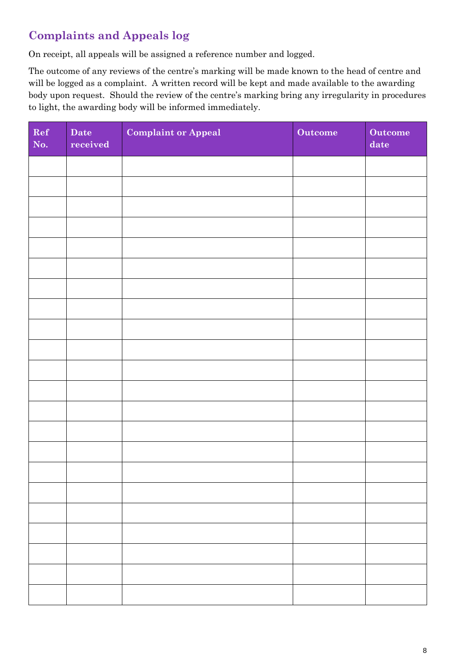## **Complaints and Appeals log**

On receipt, all appeals will be assigned a reference number and logged.

The outcome of any reviews of the centre's marking will be made known to the head of centre and will be logged as a complaint. A written record will be kept and made available to the awarding body upon request. Should the review of the centre's marking bring any irregularity in procedures to light, the awarding body will be informed immediately.

| Ref<br>No. | Date<br>received | <b>Complaint or Appeal</b> | Outcome | Outcome<br>date |
|------------|------------------|----------------------------|---------|-----------------|
|            |                  |                            |         |                 |
|            |                  |                            |         |                 |
|            |                  |                            |         |                 |
|            |                  |                            |         |                 |
|            |                  |                            |         |                 |
|            |                  |                            |         |                 |
|            |                  |                            |         |                 |
|            |                  |                            |         |                 |
|            |                  |                            |         |                 |
|            |                  |                            |         |                 |
|            |                  |                            |         |                 |
|            |                  |                            |         |                 |
|            |                  |                            |         |                 |
|            |                  |                            |         |                 |
|            |                  |                            |         |                 |
|            |                  |                            |         |                 |
|            |                  |                            |         |                 |
|            |                  |                            |         |                 |
|            |                  |                            |         |                 |
|            |                  |                            |         |                 |
|            |                  |                            |         |                 |
|            |                  |                            |         |                 |